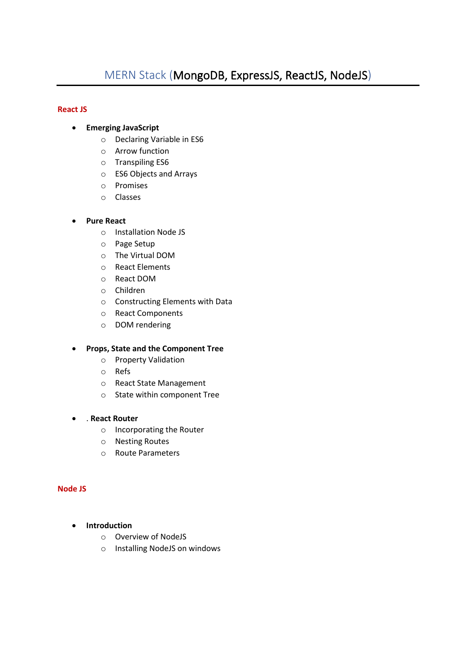# **React JS**

- **Emerging JavaScript**
	- o Declaring Variable in ES6
	- o Arrow function
	- o Transpiling ES6
	- o ES6 Objects and Arrays
	- o Promises
	- o Classes

# • **Pure React**

- o Installation Node JS
- o Page Setup
- o The Virtual DOM
- o React Elements
- o React DOM
- o Children
- o Constructing Elements with Data
- o React Components
- o DOM rendering

### • **Props, State and the Component Tree**

- o Property Validation
- o Refs
- o React State Management
- o State within component Tree

### • . **React Router**

- o Incorporating the Router
- o Nesting Routes
- o Route Parameters

### **Node JS**

- **Introduction**
	- o Overview of NodeJS
	- o Installing NodeJS on windows